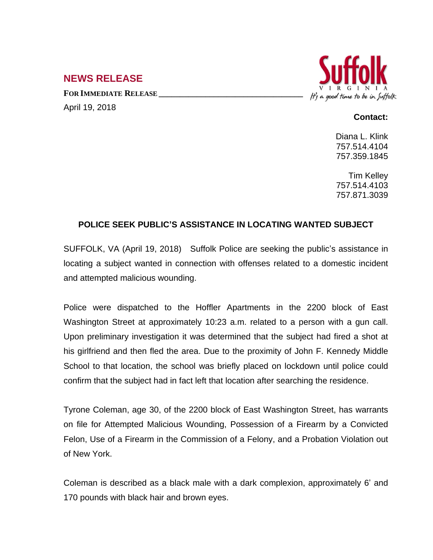## **NEWS RELEASE**

**FOR IMMEDIATE RELEASE \_\_\_\_\_\_\_\_\_\_\_\_\_\_\_\_\_\_\_\_\_\_\_\_\_\_\_\_\_\_\_\_\_\_** April 19, 2018



## **Contact:**

Diana L. Klink 757.514.4104 757.359.1845

Tim Kelley 757.514.4103 757.871.3039

## **POLICE SEEK PUBLIC'S ASSISTANCE IN LOCATING WANTED SUBJECT**

SUFFOLK, VA (April 19, 2018) Suffolk Police are seeking the public's assistance in locating a subject wanted in connection with offenses related to a domestic incident and attempted malicious wounding.

Police were dispatched to the Hoffler Apartments in the 2200 block of East Washington Street at approximately 10:23 a.m. related to a person with a gun call. Upon preliminary investigation it was determined that the subject had fired a shot at his girlfriend and then fled the area. Due to the proximity of John F. Kennedy Middle School to that location, the school was briefly placed on lockdown until police could confirm that the subject had in fact left that location after searching the residence.

Tyrone Coleman, age 30, of the 2200 block of East Washington Street, has warrants on file for Attempted Malicious Wounding, Possession of a Firearm by a Convicted Felon, Use of a Firearm in the Commission of a Felony, and a Probation Violation out of New York.

Coleman is described as a black male with a dark complexion, approximately 6' and 170 pounds with black hair and brown eyes.